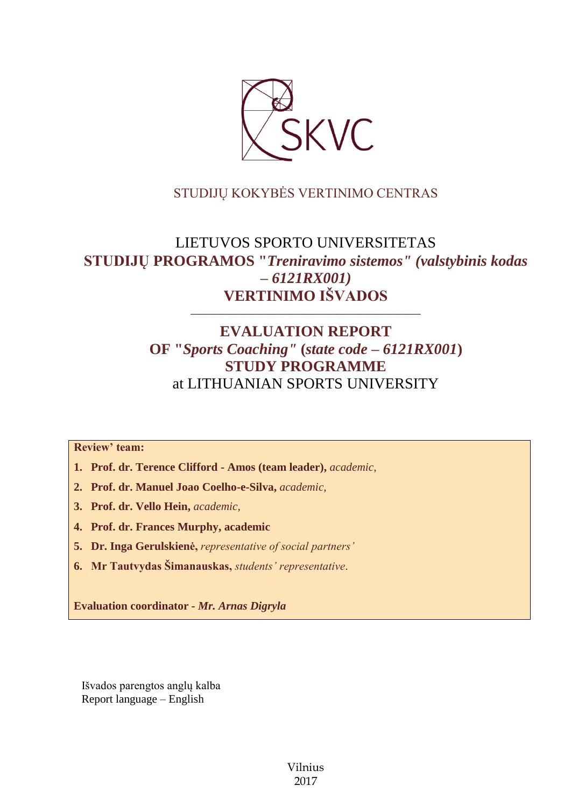

## STUDIJŲ KOKYBĖS VERTINIMO CENTRAS

# LIETUVOS SPORTO UNIVERSITETAS **STUDIJŲ PROGRAMOS "***Treniravimo sistemos" (valstybinis kodas – 6121RX001)* **VERTINIMO IŠVADOS**

## **EVALUATION REPORT OF "***Sports Coaching"* **(***state code – 6121RX001***) STUDY PROGRAMME** at LITHUANIAN SPORTS UNIVERSITY

––––––––––––––––––––––––––––––

**Review' team:** 

- **1. Prof. dr. Terence Clifford - Amos (team leader),** *academic,*
- **2. Prof. dr. Manuel Joao Coelho-e-Silva,** *academic,*
- **3. Prof. dr. Vello Hein,** *academic,*
- **4. Prof. dr. Frances Murphy, academic**
- **5. Dr. Inga Gerulskienė,** *representative of social partners'*
- **6. Mr Tautvydas Šimanauskas,** *students' representative*.

**Evaluation coordinator -** *Mr. Arnas Digryla*

Išvados parengtos anglų kalba Report language – English

> Vilnius 2017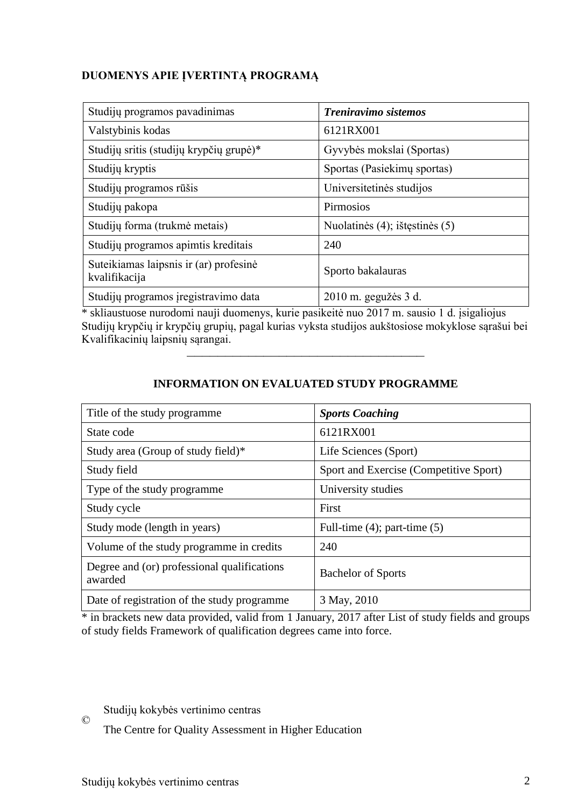## **DUOMENYS APIE ĮVERTINTĄ PROGRAMĄ**

| Studijų programos pavadinimas                           | Treniravimo sistemos           |
|---------------------------------------------------------|--------------------------------|
| Valstybinis kodas                                       | 6121RX001                      |
| Studijų sritis (studijų krypčių grupė)*                 | Gyvybės mokslai (Sportas)      |
| Studijų kryptis                                         | Sportas (Pasiekimų sportas)    |
| Studijų programos rūšis                                 | Universitetinės studijos       |
| Studijų pakopa                                          | Pirmosios                      |
| Studijų forma (trukmė metais)                           | Nuolatinės (4); ištęstinės (5) |
| Studijų programos apimtis kreditais                     | 240                            |
| Suteikiamas laipsnis ir (ar) profesinė<br>kvalifikacija | Sporto bakalauras              |
| Studijų programos įregistravimo data                    | 2010 m. gegužės 3 d.           |

\* skliaustuose nurodomi nauji duomenys, kurie pasikeitė nuo 2017 m. sausio 1 d. įsigaliojus Studijų krypčių ir krypčių grupių, pagal kurias vyksta studijos aukštosiose mokyklose sąrašui bei Kvalifikacinių laipsnių sąrangai.

| Title of the study programme.                          | <b>Sports Coaching</b>                 |
|--------------------------------------------------------|----------------------------------------|
| State code                                             | 6121RX001                              |
| Study area (Group of study field)*                     | Life Sciences (Sport)                  |
| Study field                                            | Sport and Exercise (Competitive Sport) |
| Type of the study programme.                           | University studies                     |
| Study cycle                                            | First                                  |
| Study mode (length in years)                           | Full-time $(4)$ ; part-time $(5)$      |
| Volume of the study programme in credits               | 240                                    |
| Degree and (or) professional qualifications<br>awarded | <b>Bachelor of Sports</b>              |
| Date of registration of the study programme            | 3 May, 2010                            |

## **INFORMATION ON EVALUATED STUDY PROGRAMME**

–––––––––––––––––––––––––––––––

\* in brackets new data provided, valid from 1 January, 2017 after List of study fields and groups of study fields Framework of qualification degrees came into force.

### Studijų kokybės vertinimo centras

The Centre for Quality Assessment in Higher Education

©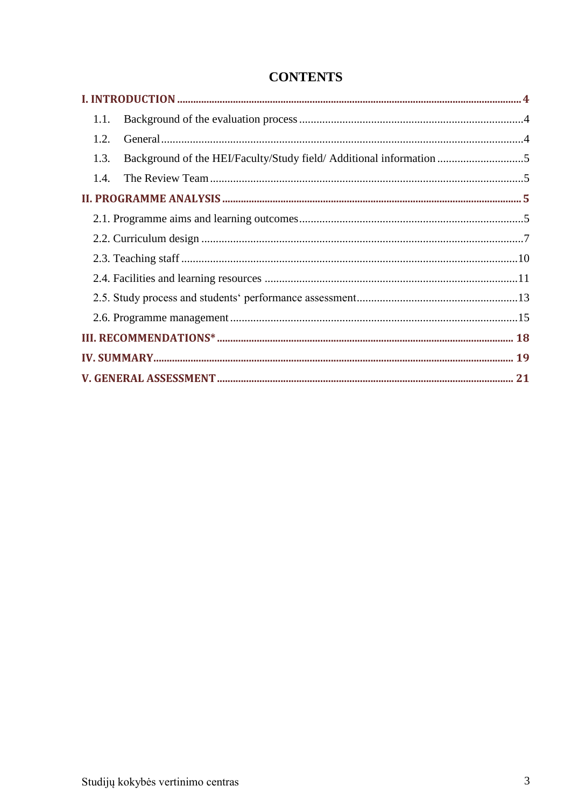| 1.1.                                                                        |  |  |
|-----------------------------------------------------------------------------|--|--|
| 1.2.                                                                        |  |  |
| Background of the HEI/Faculty/Study field/ Additional information 5<br>1.3. |  |  |
| 1.4.                                                                        |  |  |
|                                                                             |  |  |
|                                                                             |  |  |
|                                                                             |  |  |
|                                                                             |  |  |
|                                                                             |  |  |
|                                                                             |  |  |
|                                                                             |  |  |
|                                                                             |  |  |
|                                                                             |  |  |
|                                                                             |  |  |

## **CONTENTS**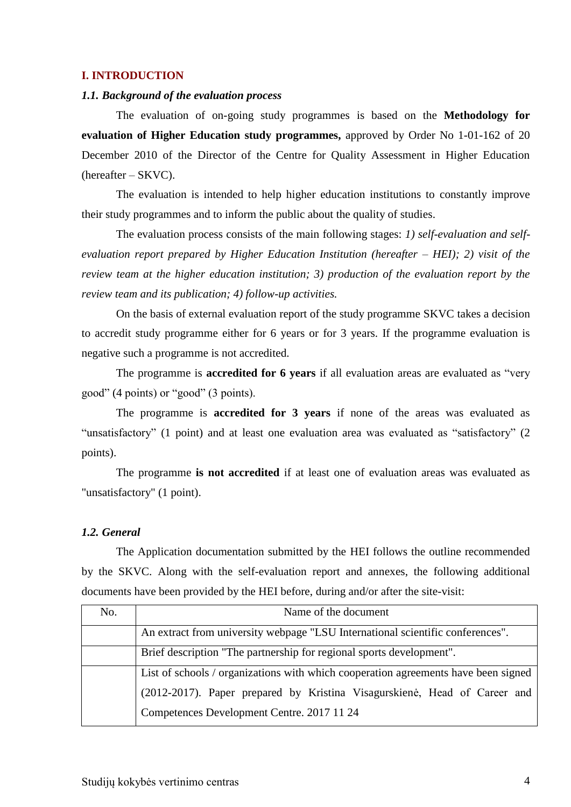#### <span id="page-3-0"></span>**I. INTRODUCTION**

#### <span id="page-3-1"></span>*1.1. Background of the evaluation process*

The evaluation of on-going study programmes is based on the **Methodology for evaluation of Higher Education study programmes,** approved by Order No 1-01-162 of 20 December 2010 of the Director of the Centre for Quality Assessment in Higher Education (hereafter – SKVC).

The evaluation is intended to help higher education institutions to constantly improve their study programmes and to inform the public about the quality of studies.

The evaluation process consists of the main following stages: *1) self-evaluation and selfevaluation report prepared by Higher Education Institution (hereafter – HEI); 2) visit of the review team at the higher education institution; 3) production of the evaluation report by the review team and its publication; 4) follow-up activities.* 

On the basis of external evaluation report of the study programme SKVC takes a decision to accredit study programme either for 6 years or for 3 years. If the programme evaluation is negative such a programme is not accredited.

The programme is **accredited for 6 years** if all evaluation areas are evaluated as "very good" (4 points) or "good" (3 points).

The programme is **accredited for 3 years** if none of the areas was evaluated as "unsatisfactory" (1 point) and at least one evaluation area was evaluated as "satisfactory" (2 points).

The programme **is not accredited** if at least one of evaluation areas was evaluated as "unsatisfactory" (1 point).

#### <span id="page-3-2"></span>*1.2. General*

The Application documentation submitted by the HEI follows the outline recommended by the SKVC. Along with the self-evaluation report and annexes, the following additional documents have been provided by the HEI before, during and/or after the site-visit:

| No. | Name of the document                                                               |  |
|-----|------------------------------------------------------------------------------------|--|
|     | An extract from university webpage "LSU International scientific conferences".     |  |
|     | Brief description "The partnership for regional sports development".               |  |
|     | List of schools / organizations with which cooperation agreements have been signed |  |
|     | (2012-2017). Paper prepared by Kristina Visagurskienė, Head of Career and          |  |
|     | Competences Development Centre. 2017 11 24                                         |  |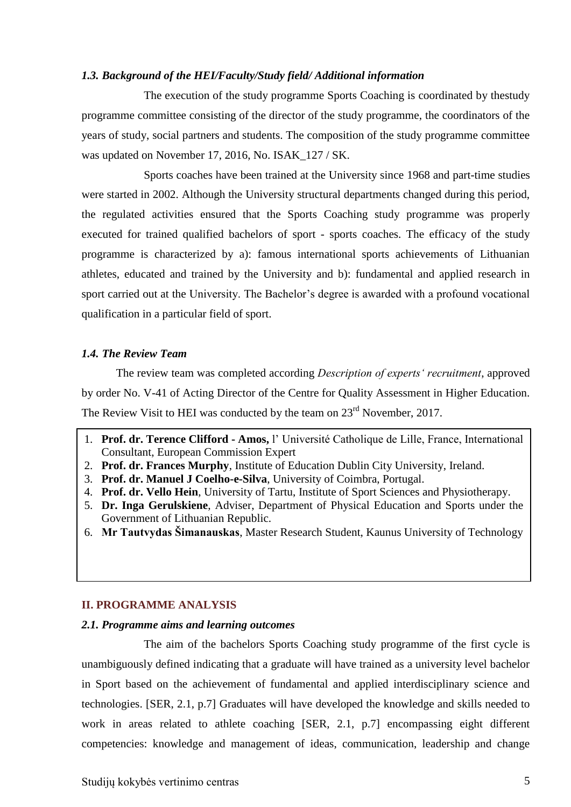#### <span id="page-4-0"></span>*1.3. Background of the HEI/Faculty/Study field/ Additional information*

The execution of the study programme Sports Coaching is coordinated by thestudy programme committee consisting of the director of the study programme, the coordinators of the years of study, social partners and students. The composition of the study programme committee was updated on November 17, 2016, No. ISAK\_127 / SK.

Sports coaches have been trained at the University since 1968 and part-time studies were started in 2002. Although the University structural departments changed during this period, the regulated activities ensured that the Sports Coaching study programme was properly executed for trained qualified bachelors of sport - sports coaches. The efficacy of the study programme is characterized by a): famous international sports achievements of Lithuanian athletes, educated and trained by the University and b): fundamental and applied research in sport carried out at the University. The Bachelor's degree is awarded with a profound vocational qualification in a particular field of sport.

#### <span id="page-4-1"></span>*1.4. The Review Team*

The review team was completed according *Description of experts' recruitment*, approved by order No. V-41 of Acting Director of the Centre for Quality Assessment in Higher Education. The Review Visit to HEI was conducted by the team on  $23<sup>rd</sup>$  November, 2017.

- 1. **Prof. dr. Terence Clifford - Amos,** l' Université Catholique de Lille, France, International Consultant, European Commission Expert
- 2. **Prof. dr. Frances Murphy**, Institute of Education Dublin City University, Ireland.
- 3. **Prof. dr. Manuel J Coelho-e-Silva**, University of Coimbra, Portugal.
- 4. **Prof. dr. Vello Hein**, University of Tartu, Institute of Sport Sciences and Physiotherapy.
- 5. **Dr. Inga Gerulskiene**, Adviser, Department of Physical Education and Sports under the Government of Lithuanian Republic.
- 6. **Mr Tautvydas Šimanauskas**, Master Research Student, Kaunus University of Technology

#### <span id="page-4-2"></span>**II. PROGRAMME ANALYSIS**

#### <span id="page-4-3"></span>*2.1. Programme aims and learning outcomes*

The aim of the bachelors Sports Coaching study programme of the first cycle is unambiguously defined indicating that a graduate will have trained as a university level bachelor in Sport based on the achievement of fundamental and applied interdisciplinary science and technologies. [SER, 2.1, p.7] Graduates will have developed the knowledge and skills needed to work in areas related to athlete coaching [SER, 2.1, p.7] encompassing eight different competencies: knowledge and management of ideas, communication, leadership and change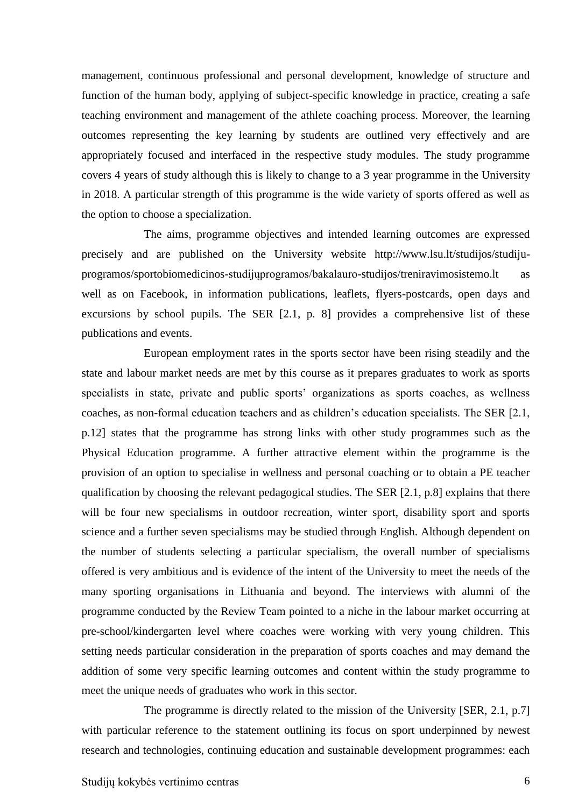management, continuous professional and personal development, knowledge of structure and function of the human body, applying of subject-specific knowledge in practice, creating a safe teaching environment and management of the athlete coaching process. Moreover, the learning outcomes representing the key learning by students are outlined very effectively and are appropriately focused and interfaced in the respective study modules. The study programme covers 4 years of study although this is likely to change to a 3 year programme in the University in 2018. A particular strength of this programme is the wide variety of sports offered as well as the option to choose a specialization.

The aims, programme objectives and intended learning outcomes are expressed precisely and are published on the University website http://www.lsu.lt/studijos/studijuprogramos/sportobiomedicinos-studijųprogramos/bakalauro-studijos/treniravimosistemo.lt well as on Facebook, in information publications, leaflets, flyers-postcards, open days and excursions by school pupils. The SER [2.1, p. 8] provides a comprehensive list of these publications and events.

European employment rates in the sports sector have been rising steadily and the state and labour market needs are met by this course as it prepares graduates to work as sports specialists in state, private and public sports' organizations as sports coaches, as wellness coaches, as non-formal education teachers and as children's education specialists. The SER [2.1, p.12] states that the programme has strong links with other study programmes such as the Physical Education programme. A further attractive element within the programme is the provision of an option to specialise in wellness and personal coaching or to obtain a PE teacher qualification by choosing the relevant pedagogical studies. The SER [2.1, p.8] explains that there will be four new specialisms in outdoor recreation, winter sport, disability sport and sports science and a further seven specialisms may be studied through English. Although dependent on the number of students selecting a particular specialism, the overall number of specialisms offered is very ambitious and is evidence of the intent of the University to meet the needs of the many sporting organisations in Lithuania and beyond. The interviews with alumni of the programme conducted by the Review Team pointed to a niche in the labour market occurring at pre-school/kindergarten level where coaches were working with very young children. This setting needs particular consideration in the preparation of sports coaches and may demand the addition of some very specific learning outcomes and content within the study programme to meet the unique needs of graduates who work in this sector.

The programme is directly related to the mission of the University [SER, 2.1, p.7] with particular reference to the statement outlining its focus on sport underpinned by newest research and technologies, continuing education and sustainable development programmes: each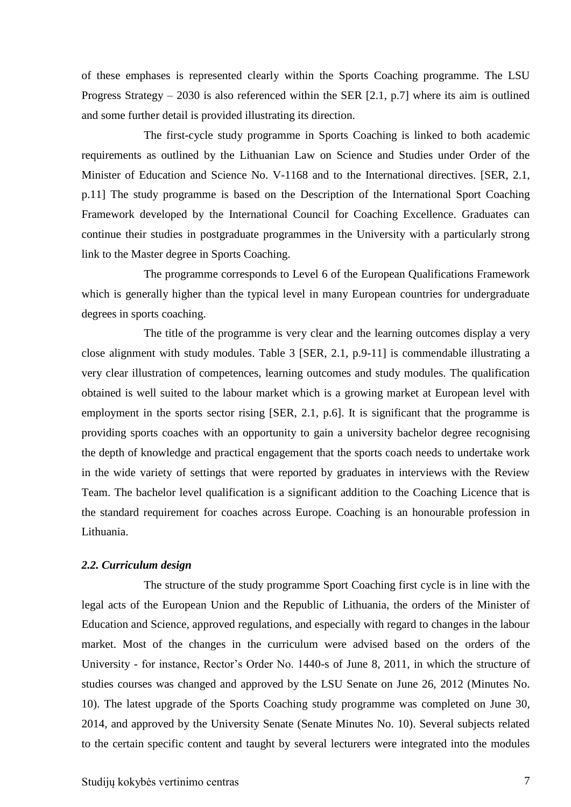of these emphases is represented clearly within the Sports Coaching programme. The LSU Progress Strategy – 2030 is also referenced within the SER [2.1, p.7] where its aim is outlined and some further detail is provided illustrating its direction.

The first-cycle study programme in Sports Coaching is linked to both academic requirements as outlined by the Lithuanian Law on Science and Studies under Order of the Minister of Education and Science No. V-1168 and to the International directives. [SER, 2.1, p.11] The study programme is based on the Description of the International Sport Coaching Framework developed by the International Council for Coaching Excellence. Graduates can continue their studies in postgraduate programmes in the University with a particularly strong link to the Master degree in Sports Coaching.

The programme corresponds to Level 6 of the European Qualifications Framework which is generally higher than the typical level in many European countries for undergraduate degrees in sports coaching.

The title of the programme is very clear and the learning outcomes display a very close alignment with study modules. Table 3 [SER, 2.1, p.9-11] is commendable illustrating a very clear illustration of competences, learning outcomes and study modules. The qualification obtained is well suited to the labour market which is a growing market at European level with employment in the sports sector rising [SER, 2.1, p.6]. It is significant that the programme is providing sports coaches with an opportunity to gain a university bachelor degree recognising the depth of knowledge and practical engagement that the sports coach needs to undertake work in the wide variety of settings that were reported by graduates in interviews with the Review Team. The bachelor level qualification is a significant addition to the Coaching Licence that is the standard requirement for coaches across Europe. Coaching is an honourable profession in Lithuania.

#### <span id="page-6-0"></span>*2.2. Curriculum design*

The structure of the study programme Sport Coaching first cycle is in line with the legal acts of the European Union and the Republic of Lithuania, the orders of the Minister of Education and Science, approved regulations, and especially with regard to changes in the labour market. Most of the changes in the curriculum were advised based on the orders of the University - for instance, Rector's Order No. 1440-s of June 8, 2011, in which the structure of studies courses was changed and approved by the LSU Senate on June 26, 2012 (Minutes No. 10). The latest upgrade of the Sports Coaching study programme was completed on June 30, 2014, and approved by the University Senate (Senate Minutes No. 10). Several subjects related to the certain specific content and taught by several lecturers were integrated into the modules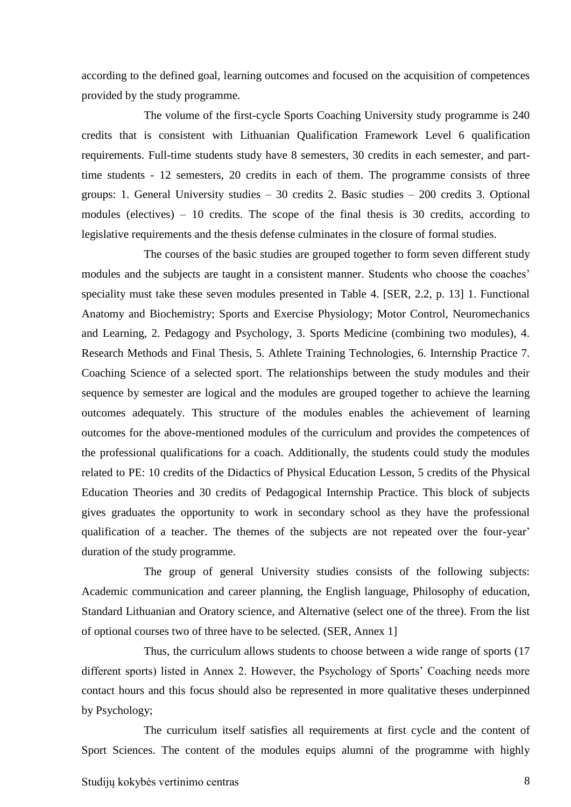according to the defined goal, learning outcomes and focused on the acquisition of competences provided by the study programme.

The volume of the first-cycle Sports Coaching University study programme is 240 credits that is consistent with Lithuanian Qualification Framework Level 6 qualification requirements. Full-time students study have 8 semesters, 30 credits in each semester, and parttime students - 12 semesters, 20 credits in each of them. The programme consists of three groups: 1. General University studies – 30 credits 2. Basic studies – 200 credits 3. Optional modules (electives) – 10 credits. The scope of the final thesis is 30 credits, according to legislative requirements and the thesis defense culminates in the closure of formal studies.

The courses of the basic studies are grouped together to form seven different study modules and the subjects are taught in a consistent manner. Students who choose the coaches' speciality must take these seven modules presented in Table 4. [SER, 2.2, p. 13] 1. Functional Anatomy and Biochemistry; Sports and Exercise Physiology; Motor Control, Neuromechanics and Learning, 2. Pedagogy and Psychology, 3. Sports Medicine (combining two modules), 4. Research Methods and Final Thesis, 5. Athlete Training Technologies, 6. Internship Practice 7. Coaching Science of a selected sport. The relationships between the study modules and their sequence by semester are logical and the modules are grouped together to achieve the learning outcomes adequately. This structure of the modules enables the achievement of learning outcomes for the above-mentioned modules of the curriculum and provides the competences of the professional qualifications for a coach. Additionally, the students could study the modules related to PE: 10 credits of the Didactics of Physical Education Lesson, 5 credits of the Physical Education Theories and 30 credits of Pedagogical Internship Practice. This block of subjects gives graduates the opportunity to work in secondary school as they have the professional qualification of a teacher. The themes of the subjects are not repeated over the four-year' duration of the study programme.

The group of general University studies consists of the following subjects: Academic communication and career planning, the English language, Philosophy of education, Standard Lithuanian and Oratory science, and Alternative (select one of the three). From the list of optional courses two of three have to be selected. (SER, Annex 1]

Thus, the curriculum allows students to choose between a wide range of sports (17 different sports) listed in Annex 2. However, the Psychology of Sports' Coaching needs more contact hours and this focus should also be represented in more qualitative theses underpinned by Psychology;

The curriculum itself satisfies all requirements at first cycle and the content of Sport Sciences. The content of the modules equips alumni of the programme with highly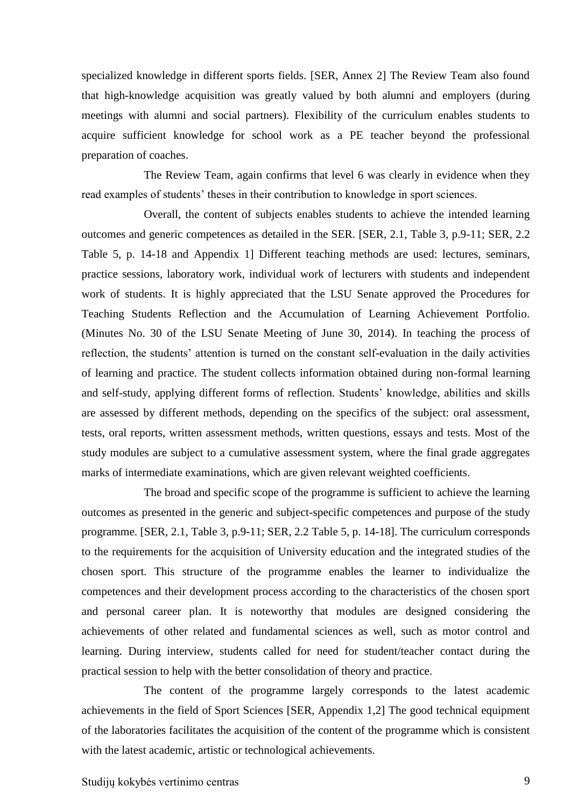specialized knowledge in different sports fields. [SER, Annex 2] The Review Team also found that high-knowledge acquisition was greatly valued by both alumni and employers (during meetings with alumni and social partners). Flexibility of the curriculum enables students to acquire sufficient knowledge for school work as a PE teacher beyond the professional preparation of coaches.

The Review Team, again confirms that level 6 was clearly in evidence when they read examples of students' theses in their contribution to knowledge in sport sciences.

Overall, the content of subjects enables students to achieve the intended learning outcomes and generic competences as detailed in the SER. [SER, 2.1, Table 3, p.9-11; SER, 2.2 Table 5, p. 14-18 and Appendix 1] Different teaching methods are used: lectures, seminars, practice sessions, laboratory work, individual work of lecturers with students and independent work of students. It is highly appreciated that the LSU Senate approved the Procedures for Teaching Students Reflection and the Accumulation of Learning Achievement Portfolio. (Minutes No. 30 of the LSU Senate Meeting of June 30, 2014). In teaching the process of reflection, the students' attention is turned on the constant self-evaluation in the daily activities of learning and practice. The student collects information obtained during non-formal learning and self-study, applying different forms of reflection. Students' knowledge, abilities and skills are assessed by different methods, depending on the specifics of the subject: oral assessment, tests, oral reports, written assessment methods, written questions, essays and tests. Most of the study modules are subject to a cumulative assessment system, where the final grade aggregates marks of intermediate examinations, which are given relevant weighted coefficients.

The broad and specific scope of the programme is sufficient to achieve the learning outcomes as presented in the generic and subject-specific competences and purpose of the study programme. [SER, 2.1, Table 3, p.9-11; SER, 2.2 Table 5, p. 14-18]. The curriculum corresponds to the requirements for the acquisition of University education and the integrated studies of the chosen sport. This structure of the programme enables the learner to individualize the competences and their development process according to the characteristics of the chosen sport and personal career plan. It is noteworthy that modules are designed considering the achievements of other related and fundamental sciences as well, such as motor control and learning. During interview, students called for need for student/teacher contact during the practical session to help with the better consolidation of theory and practice.

The content of the programme largely corresponds to the latest academic achievements in the field of Sport Sciences [SER, Appendix 1,2] The good technical equipment of the laboratories facilitates the acquisition of the content of the programme which is consistent with the latest academic, artistic or technological achievements.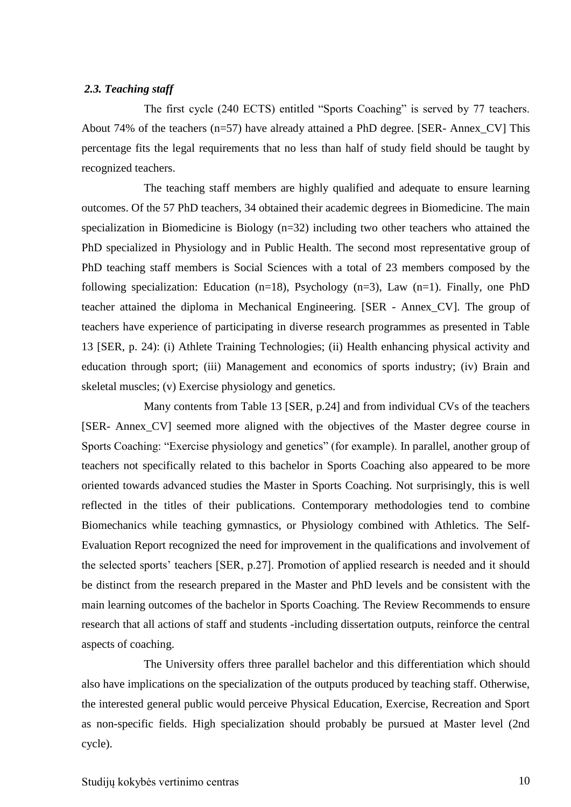#### <span id="page-9-0"></span>*2.3. Teaching staff*

The first cycle (240 ECTS) entitled "Sports Coaching" is served by 77 teachers. About 74% of the teachers (n=57) have already attained a PhD degree. [SER- Annex\_CV] This percentage fits the legal requirements that no less than half of study field should be taught by recognized teachers.

The teaching staff members are highly qualified and adequate to ensure learning outcomes. Of the 57 PhD teachers, 34 obtained their academic degrees in Biomedicine. The main specialization in Biomedicine is Biology (n=32) including two other teachers who attained the PhD specialized in Physiology and in Public Health. The second most representative group of PhD teaching staff members is Social Sciences with a total of 23 members composed by the following specialization: Education  $(n=18)$ , Psychology  $(n=3)$ , Law  $(n=1)$ . Finally, one PhD teacher attained the diploma in Mechanical Engineering. [SER - Annex\_CV]. The group of teachers have experience of participating in diverse research programmes as presented in Table 13 [SER, p. 24): (i) Athlete Training Technologies; (ii) Health enhancing physical activity and education through sport; (iii) Management and economics of sports industry; (iv) Brain and skeletal muscles; (v) Exercise physiology and genetics.

Many contents from Table 13 [SER, p.24] and from individual CVs of the teachers [SER- Annex\_CV] seemed more aligned with the objectives of the Master degree course in Sports Coaching: "Exercise physiology and genetics" (for example). In parallel, another group of teachers not specifically related to this bachelor in Sports Coaching also appeared to be more oriented towards advanced studies the Master in Sports Coaching. Not surprisingly, this is well reflected in the titles of their publications. Contemporary methodologies tend to combine Biomechanics while teaching gymnastics, or Physiology combined with Athletics. The Self-Evaluation Report recognized the need for improvement in the qualifications and involvement of the selected sports' teachers [SER, p.27]. Promotion of applied research is needed and it should be distinct from the research prepared in the Master and PhD levels and be consistent with the main learning outcomes of the bachelor in Sports Coaching. The Review Recommends to ensure research that all actions of staff and students -including dissertation outputs, reinforce the central aspects of coaching.

The University offers three parallel bachelor and this differentiation which should also have implications on the specialization of the outputs produced by teaching staff. Otherwise, the interested general public would perceive Physical Education, Exercise, Recreation and Sport as non-specific fields. High specialization should probably be pursued at Master level (2nd cycle).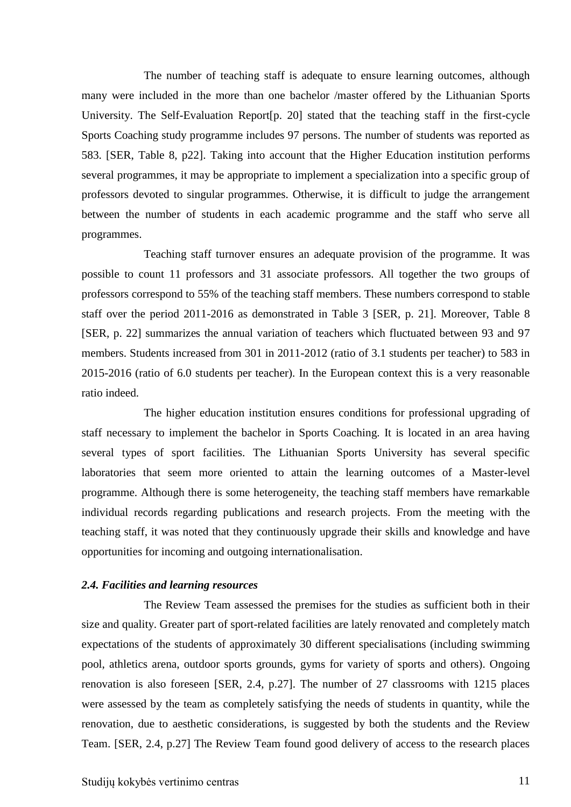The number of teaching staff is adequate to ensure learning outcomes, although many were included in the more than one bachelor /master offered by the Lithuanian Sports University. The Self-Evaluation Report[p. 20] stated that the teaching staff in the first-cycle Sports Coaching study programme includes 97 persons. The number of students was reported as 583. [SER, Table 8, p22]. Taking into account that the Higher Education institution performs several programmes, it may be appropriate to implement a specialization into a specific group of professors devoted to singular programmes. Otherwise, it is difficult to judge the arrangement between the number of students in each academic programme and the staff who serve all programmes.

Teaching staff turnover ensures an adequate provision of the programme. It was possible to count 11 professors and 31 associate professors. All together the two groups of professors correspond to 55% of the teaching staff members. These numbers correspond to stable staff over the period 2011-2016 as demonstrated in Table 3 [SER, p. 21]. Moreover, Table 8 [SER, p. 22] summarizes the annual variation of teachers which fluctuated between 93 and 97 members. Students increased from 301 in 2011-2012 (ratio of 3.1 students per teacher) to 583 in 2015-2016 (ratio of 6.0 students per teacher). In the European context this is a very reasonable ratio indeed.

The higher education institution ensures conditions for professional upgrading of staff necessary to implement the bachelor in Sports Coaching. It is located in an area having several types of sport facilities. The Lithuanian Sports University has several specific laboratories that seem more oriented to attain the learning outcomes of a Master-level programme. Although there is some heterogeneity, the teaching staff members have remarkable individual records regarding publications and research projects. From the meeting with the teaching staff, it was noted that they continuously upgrade their skills and knowledge and have opportunities for incoming and outgoing internationalisation.

#### <span id="page-10-0"></span>*2.4. Facilities and learning resources*

The Review Team assessed the premises for the studies as sufficient both in their size and quality. Greater part of sport-related facilities are lately renovated and completely match expectations of the students of approximately 30 different specialisations (including swimming pool, athletics arena, outdoor sports grounds, gyms for variety of sports and others). Ongoing renovation is also foreseen [SER, 2.4, p.27]. The number of 27 classrooms with 1215 places were assessed by the team as completely satisfying the needs of students in quantity, while the renovation, due to aesthetic considerations, is suggested by both the students and the Review Team. [SER, 2.4, p.27] The Review Team found good delivery of access to the research places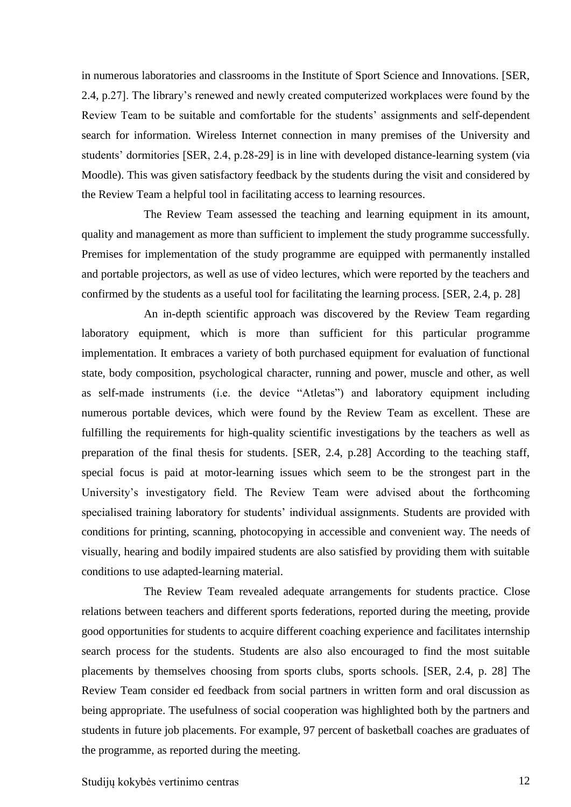in numerous laboratories and classrooms in the Institute of Sport Science and Innovations. [SER, 2.4, p.27]. The library's renewed and newly created computerized workplaces were found by the Review Team to be suitable and comfortable for the students' assignments and self-dependent search for information. Wireless Internet connection in many premises of the University and students' dormitories [SER, 2.4, p.28-29] is in line with developed distance-learning system (via Moodle). This was given satisfactory feedback by the students during the visit and considered by the Review Team a helpful tool in facilitating access to learning resources.

The Review Team assessed the teaching and learning equipment in its amount, quality and management as more than sufficient to implement the study programme successfully. Premises for implementation of the study programme are equipped with permanently installed and portable projectors, as well as use of video lectures, which were reported by the teachers and confirmed by the students as a useful tool for facilitating the learning process. [SER, 2.4, p. 28]

An in-depth scientific approach was discovered by the Review Team regarding laboratory equipment, which is more than sufficient for this particular programme implementation. It embraces a variety of both purchased equipment for evaluation of functional state, body composition, psychological character, running and power, muscle and other, as well as self-made instruments (i.e. the device "Atletas") and laboratory equipment including numerous portable devices, which were found by the Review Team as excellent. These are fulfilling the requirements for high-quality scientific investigations by the teachers as well as preparation of the final thesis for students. [SER, 2.4, p.28] According to the teaching staff, special focus is paid at motor-learning issues which seem to be the strongest part in the University's investigatory field. The Review Team were advised about the forthcoming specialised training laboratory for students' individual assignments. Students are provided with conditions for printing, scanning, photocopying in accessible and convenient way. The needs of visually, hearing and bodily impaired students are also satisfied by providing them with suitable conditions to use adapted-learning material.

The Review Team revealed adequate arrangements for students practice. Close relations between teachers and different sports federations, reported during the meeting, provide good opportunities for students to acquire different coaching experience and facilitates internship search process for the students. Students are also also encouraged to find the most suitable placements by themselves choosing from sports clubs, sports schools. [SER, 2.4, p. 28] The Review Team consider ed feedback from social partners in written form and oral discussion as being appropriate. The usefulness of social cooperation was highlighted both by the partners and students in future job placements. For example, 97 percent of basketball coaches are graduates of the programme, as reported during the meeting.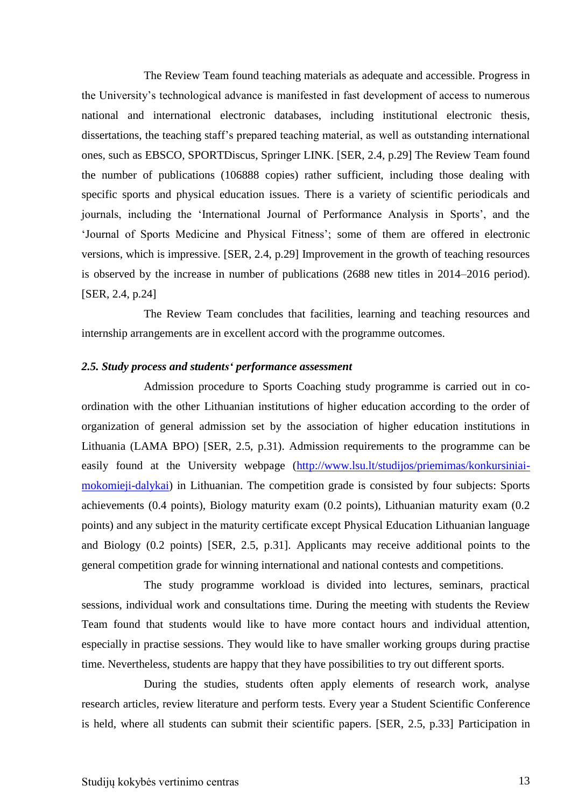The Review Team found teaching materials as adequate and accessible. Progress in the University's technological advance is manifested in fast development of access to numerous national and international electronic databases, including institutional electronic thesis, dissertations, the teaching staff's prepared teaching material, as well as outstanding international ones, such as EBSCO, SPORTDiscus, Springer LINK. [SER, 2.4, p.29] The Review Team found the number of publications (106888 copies) rather sufficient, including those dealing with specific sports and physical education issues. There is a variety of scientific periodicals and journals, including the 'International Journal of Performance Analysis in Sports', and the 'Journal of Sports Medicine and Physical Fitness'; some of them are offered in electronic versions, which is impressive. [SER, 2.4, p.29] Improvement in the growth of teaching resources is observed by the increase in number of publications (2688 new titles in 2014–2016 period). [SER, 2.4, p.24]

The Review Team concludes that facilities, learning and teaching resources and internship arrangements are in excellent accord with the programme outcomes.

#### <span id="page-12-0"></span>*2.5. Study process and students' performance assessment*

Admission procedure to Sports Coaching study programme is carried out in coordination with the other Lithuanian institutions of higher education according to the order of organization of general admission set by the association of higher education institutions in Lithuania (LAMA BPO) [SER, 2.5, p.31). Admission requirements to the programme can be easily found at the University webpage [\(http://www.lsu.lt/studijos/priemimas/konkursiniai](http://www.lsu.lt/studijos/priemimas/konkursiniai-mokomieji-dalykai)[mokomieji-dalykai\)](http://www.lsu.lt/studijos/priemimas/konkursiniai-mokomieji-dalykai) in Lithuanian. The competition grade is consisted by four subjects: Sports achievements (0.4 points), Biology maturity exam (0.2 points), Lithuanian maturity exam (0.2 points) and any subject in the maturity certificate except Physical Education Lithuanian language and Biology (0.2 points) [SER, 2.5, p.31]. Applicants may receive additional points to the general competition grade for winning international and national contests and competitions.

The study programme workload is divided into lectures, seminars, practical sessions, individual work and consultations time. During the meeting with students the Review Team found that students would like to have more contact hours and individual attention, especially in practise sessions. They would like to have smaller working groups during practise time. Nevertheless, students are happy that they have possibilities to try out different sports.

During the studies, students often apply elements of research work, analyse research articles, review literature and perform tests. Every year a Student Scientific Conference is held, where all students can submit their scientific papers. [SER, 2.5, p.33] Participation in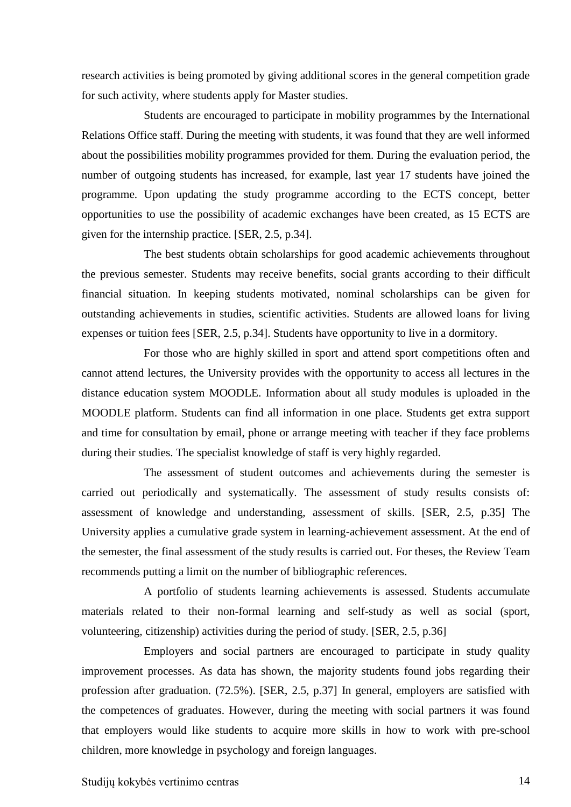research activities is being promoted by giving additional scores in the general competition grade for such activity, where students apply for Master studies.

Students are encouraged to participate in mobility programmes by the International Relations Office staff. During the meeting with students, it was found that they are well informed about the possibilities mobility programmes provided for them. During the evaluation period, the number of outgoing students has increased, for example, last year 17 students have joined the programme. Upon updating the study programme according to the ECTS concept, better opportunities to use the possibility of academic exchanges have been created, as 15 ECTS are given for the internship practice. [SER, 2.5, p.34].

The best students obtain scholarships for good academic achievements throughout the previous semester. Students may receive benefits, social grants according to their difficult financial situation. In keeping students motivated, nominal scholarships can be given for outstanding achievements in studies, scientific activities. Students are allowed loans for living expenses or tuition fees [SER, 2.5, p.34]. Students have opportunity to live in a dormitory.

For those who are highly skilled in sport and attend sport competitions often and cannot attend lectures, the University provides with the opportunity to access all lectures in the distance education system MOODLE. Information about all study modules is uploaded in the MOODLE platform. Students can find all information in one place. Students get extra support and time for consultation by email, phone or arrange meeting with teacher if they face problems during their studies. The specialist knowledge of staff is very highly regarded.

The assessment of student outcomes and achievements during the semester is carried out periodically and systematically. The assessment of study results consists of: assessment of knowledge and understanding, assessment of skills. [SER, 2.5, p.35] The University applies a cumulative grade system in learning-achievement assessment. At the end of the semester, the final assessment of the study results is carried out. For theses, the Review Team recommends putting a limit on the number of bibliographic references.

A portfolio of students learning achievements is assessed. Students accumulate materials related to their non-formal learning and self-study as well as social (sport, volunteering, citizenship) activities during the period of study. [SER, 2.5, p.36]

Employers and social partners are encouraged to participate in study quality improvement processes. As data has shown, the majority students found jobs regarding their profession after graduation. (72.5%). [SER, 2.5, p.37] In general, employers are satisfied with the competences of graduates. However, during the meeting with social partners it was found that employers would like students to acquire more skills in how to work with pre-school children, more knowledge in psychology and foreign languages.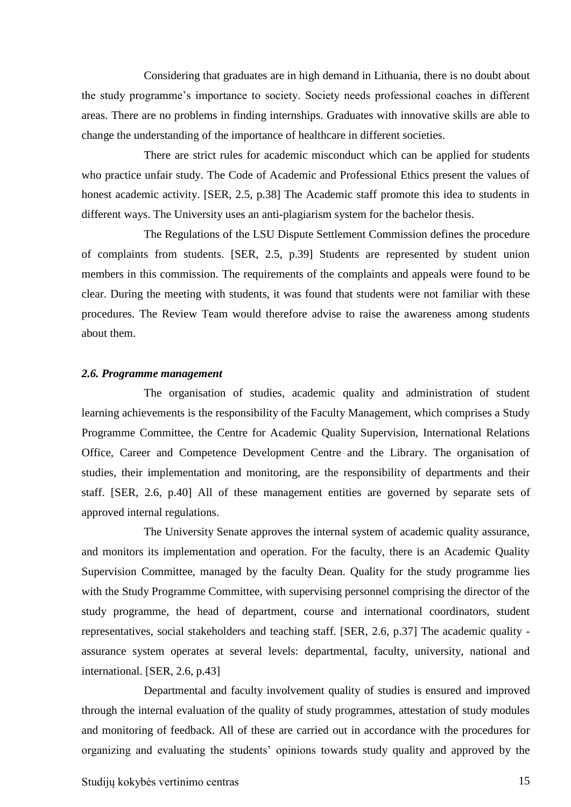Considering that graduates are in high demand in Lithuania, there is no doubt about the study programme's importance to society. Society needs professional coaches in different areas. There are no problems in finding internships. Graduates with innovative skills are able to change the understanding of the importance of healthcare in different societies.

There are strict rules for academic misconduct which can be applied for students who practice unfair study. The Code of Academic and Professional Ethics present the values of honest academic activity. [SER, 2.5, p.38] The Academic staff promote this idea to students in different ways. The University uses an anti-plagiarism system for the bachelor thesis.

The Regulations of the LSU Dispute Settlement Commission defines the procedure of complaints from students. [SER, 2.5, p.39] Students are represented by student union members in this commission. The requirements of the complaints and appeals were found to be clear. During the meeting with students, it was found that students were not familiar with these procedures. The Review Team would therefore advise to raise the awareness among students about them.

#### <span id="page-14-0"></span>*2.6. Programme management*

The organisation of studies, academic quality and administration of student learning achievements is the responsibility of the Faculty Management, which comprises a Study Programme Committee, the Centre for Academic Quality Supervision, International Relations Office, Career and Competence Development Centre and the Library. The organisation of studies, their implementation and monitoring, are the responsibility of departments and their staff. [SER, 2.6, p.40] All of these management entities are governed by separate sets of approved internal regulations.

The University Senate approves the internal system of academic quality assurance, and monitors its implementation and operation. For the faculty, there is an Academic Quality Supervision Committee, managed by the faculty Dean. Quality for the study programme lies with the Study Programme Committee, with supervising personnel comprising the director of the study programme, the head of department, course and international coordinators, student representatives, social stakeholders and teaching staff. [SER, 2.6, p.37] The academic quality assurance system operates at several levels: departmental, faculty, university, national and international. [SER, 2.6, p.43]

Departmental and faculty involvement quality of studies is ensured and improved through the internal evaluation of the quality of study programmes, attestation of study modules and monitoring of feedback. All of these are carried out in accordance with the procedures for organizing and evaluating the students' opinions towards study quality and approved by the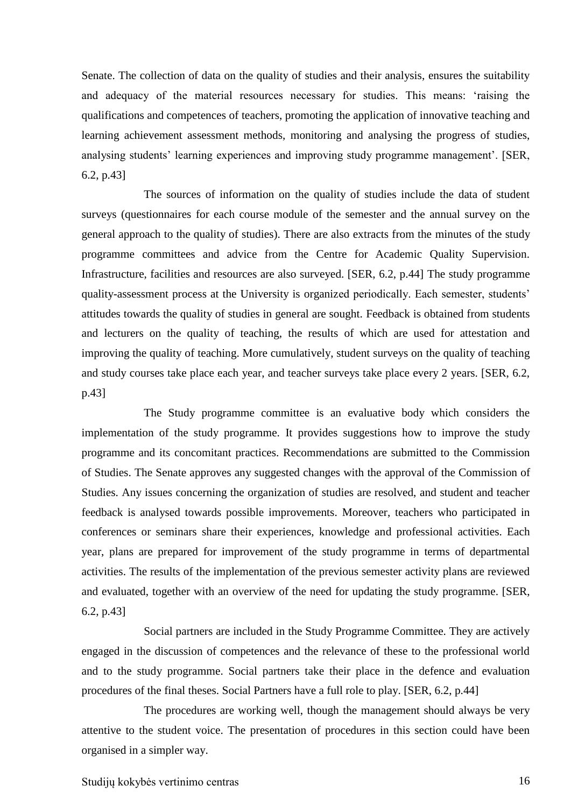Senate. The collection of data on the quality of studies and their analysis, ensures the suitability and adequacy of the material resources necessary for studies. This means: 'raising the qualifications and competences of teachers, promoting the application of innovative teaching and learning achievement assessment methods, monitoring and analysing the progress of studies, analysing students' learning experiences and improving study programme management'. [SER, 6.2, p.43]

The sources of information on the quality of studies include the data of student surveys (questionnaires for each course module of the semester and the annual survey on the general approach to the quality of studies). There are also extracts from the minutes of the study programme committees and advice from the Centre for Academic Quality Supervision. Infrastructure, facilities and resources are also surveyed. [SER, 6.2, p.44] The study programme quality-assessment process at the University is organized periodically. Each semester, students' attitudes towards the quality of studies in general are sought. Feedback is obtained from students and lecturers on the quality of teaching, the results of which are used for attestation and improving the quality of teaching. More cumulatively, student surveys on the quality of teaching and study courses take place each year, and teacher surveys take place every 2 years. [SER, 6.2, p.43]

The Study programme committee is an evaluative body which considers the implementation of the study programme. It provides suggestions how to improve the study programme and its concomitant practices. Recommendations are submitted to the Commission of Studies. The Senate approves any suggested changes with the approval of the Commission of Studies. Any issues concerning the organization of studies are resolved, and student and teacher feedback is analysed towards possible improvements. Moreover, teachers who participated in conferences or seminars share their experiences, knowledge and professional activities. Each year, plans are prepared for improvement of the study programme in terms of departmental activities. The results of the implementation of the previous semester activity plans are reviewed and evaluated, together with an overview of the need for updating the study programme. [SER, 6.2, p.43]

Social partners are included in the Study Programme Committee. They are actively engaged in the discussion of competences and the relevance of these to the professional world and to the study programme. Social partners take their place in the defence and evaluation procedures of the final theses. Social Partners have a full role to play. [SER, 6.2, p.44]

The procedures are working well, though the management should always be very attentive to the student voice. The presentation of procedures in this section could have been organised in a simpler way.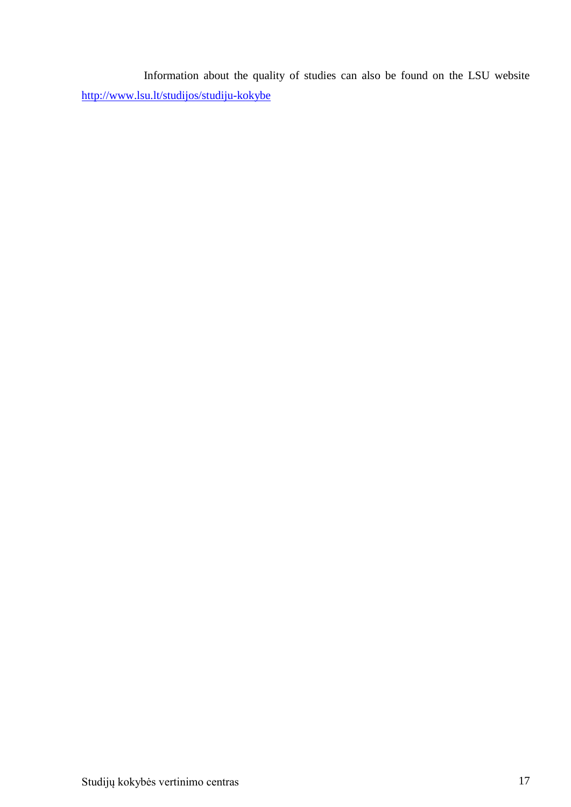Information about the quality of studies can also be found on the LSU website <http://www.lsu.lt/studijos/studiju-kokybe>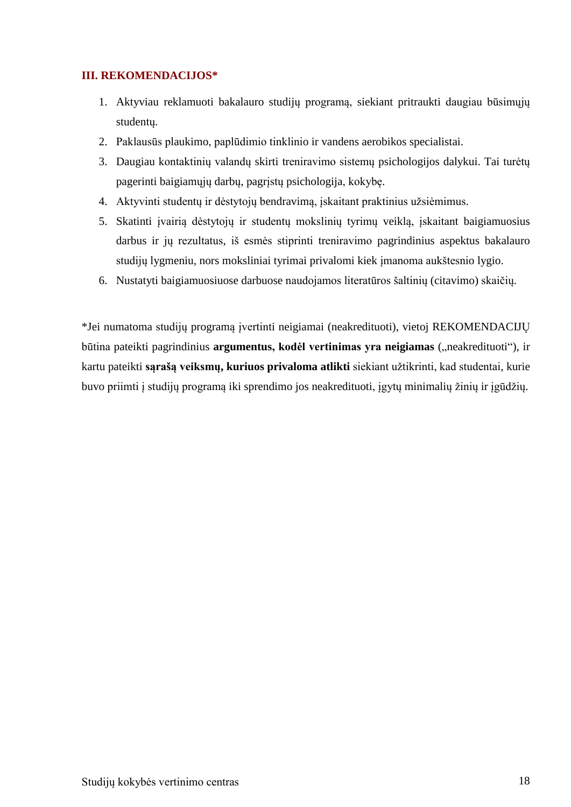### <span id="page-17-0"></span>**III. REKOMENDACIJOS\***

- 1. Aktyviau reklamuoti bakalauro studijų programą, siekiant pritraukti daugiau būsimųjų studentų.
- 2. Paklausūs plaukimo, paplūdimio tinklinio ir vandens aerobikos specialistai.
- 3. Daugiau kontaktinių valandų skirti treniravimo sistemų psichologijos dalykui. Tai turėtų pagerinti baigiamųjų darbų, pagrįstų psichologija, kokybę.
- 4. Aktyvinti studentų ir dėstytojų bendravimą, įskaitant praktinius užsiėmimus.
- 5. Skatinti įvairią dėstytojų ir studentų mokslinių tyrimų veiklą, įskaitant baigiamuosius darbus ir jų rezultatus, iš esmės stiprinti treniravimo pagrindinius aspektus bakalauro studijų lygmeniu, nors moksliniai tyrimai privalomi kiek įmanoma aukštesnio lygio.
- 6. Nustatyti baigiamuosiuose darbuose naudojamos literatūros šaltinių (citavimo) skaičių.

\*Jei numatoma studijų programą įvertinti neigiamai (neakredituoti), vietoj REKOMENDACIJŲ būtina pateikti pagrindinius **argumentus, kodėl vertinimas yra neigiamas** ("neakredituoti"), ir kartu pateikti **sąrašą veiksmų, kuriuos privaloma atlikti** siekiant užtikrinti, kad studentai, kurie buvo priimti į studijų programą iki sprendimo jos neakredituoti, įgytų minimalių žinių ir įgūdžių.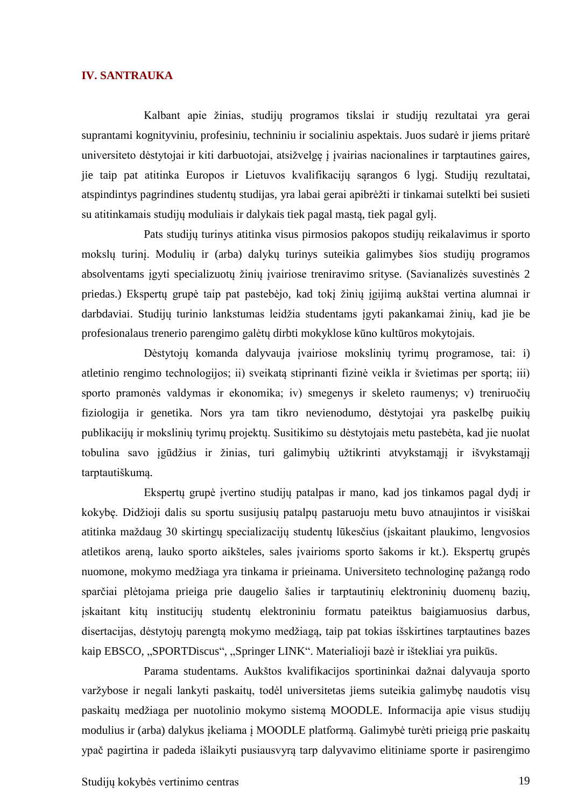#### <span id="page-18-0"></span>**IV. SANTRAUKA**

Kalbant apie žinias, studijų programos tikslai ir studijų rezultatai yra gerai suprantami kognityviniu, profesiniu, techniniu ir socialiniu aspektais. Juos sudarė ir jiems pritarė universiteto dėstytojai ir kiti darbuotojai, atsižvelgę į įvairias nacionalines ir tarptautines gaires, jie taip pat atitinka Europos ir Lietuvos kvalifikacijų sąrangos 6 lygį. Studijų rezultatai, atspindintys pagrindines studentų studijas, yra labai gerai apibrėžti ir tinkamai sutelkti bei susieti su atitinkamais studijų moduliais ir dalykais tiek pagal mastą, tiek pagal gylį.

Pats studijų turinys atitinka visus pirmosios pakopos studijų reikalavimus ir sporto mokslų turinį. Modulių ir (arba) dalykų turinys suteikia galimybes šios studijų programos absolventams įgyti specializuotų žinių įvairiose treniravimo srityse. (Savianalizės suvestinės 2 priedas.) Ekspertų grupė taip pat pastebėjo, kad tokį žinių įgijimą aukštai vertina alumnai ir darbdaviai. Studijų turinio lankstumas leidžia studentams įgyti pakankamai žinių, kad jie be profesionalaus trenerio parengimo galėtų dirbti mokyklose kūno kultūros mokytojais.

Dėstytojų komanda dalyvauja įvairiose mokslinių tyrimų programose, tai: i) atletinio rengimo technologijos; ii) sveikatą stiprinanti fizinė veikla ir švietimas per sportą; iii) sporto pramonės valdymas ir ekonomika; iv) smegenys ir skeleto raumenys; v) treniruočių fiziologija ir genetika. Nors yra tam tikro nevienodumo, dėstytojai yra paskelbę puikių publikacijų ir mokslinių tyrimų projektų. Susitikimo su dėstytojais metu pastebėta, kad jie nuolat tobulina savo įgūdžius ir žinias, turi galimybių užtikrinti atvykstamąjį ir išvykstamąjį tarptautiškumą.

Ekspertų grupė įvertino studijų patalpas ir mano, kad jos tinkamos pagal dydį ir kokybę. Didžioji dalis su sportu susijusių patalpų pastaruoju metu buvo atnaujintos ir visiškai atitinka maždaug 30 skirtingų specializacijų studentų lūkesčius (įskaitant plaukimo, lengvosios atletikos areną, lauko sporto aikšteles, sales įvairioms sporto šakoms ir kt.). Ekspertų grupės nuomone, mokymo medžiaga yra tinkama ir prieinama. Universiteto technologinę pažangą rodo sparčiai plėtojama prieiga prie daugelio šalies ir tarptautinių elektroninių duomenų bazių, įskaitant kitų institucijų studentų elektroniniu formatu pateiktus baigiamuosius darbus, disertacijas, dėstytojų parengtą mokymo medžiagą, taip pat tokias išskirtines tarptautines bazes kaip EBSCO, "SPORTDiscus", "Springer LINK". Materialioji bazė ir ištekliai yra puikūs.

Parama studentams. Aukštos kvalifikacijos sportininkai dažnai dalyvauja sporto varžybose ir negali lankyti paskaitų, todėl universitetas jiems suteikia galimybę naudotis visų paskaitų medžiaga per nuotolinio mokymo sistemą MOODLE. Informacija apie visus studijų modulius ir (arba) dalykus įkeliama į MOODLE platformą. Galimybė turėti prieigą prie paskaitų ypač pagirtina ir padeda išlaikyti pusiausvyrą tarp dalyvavimo elitiniame sporte ir pasirengimo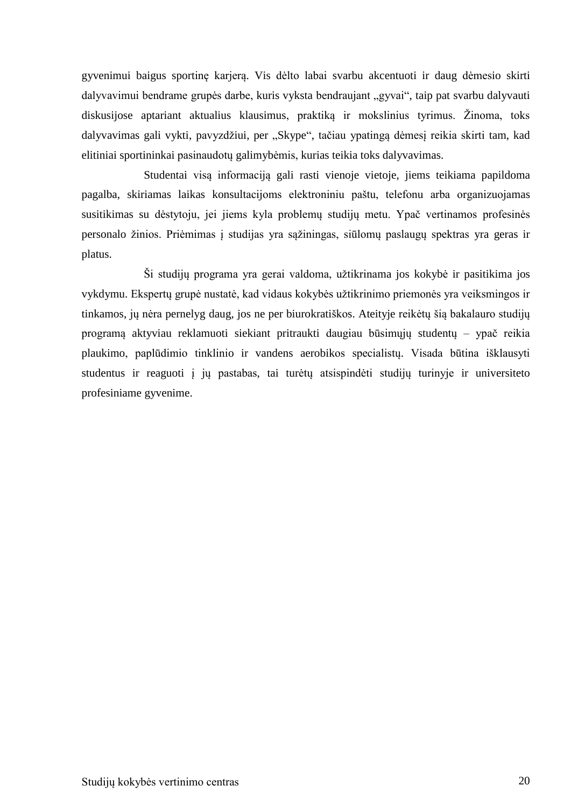gyvenimui baigus sportinę karjerą. Vis dėlto labai svarbu akcentuoti ir daug dėmesio skirti dalyvavimui bendrame grupės darbe, kuris vyksta bendraujant "gyvai", taip pat svarbu dalyvauti diskusijose aptariant aktualius klausimus, praktiką ir mokslinius tyrimus. Žinoma, toks dalyvavimas gali vykti, pavyzdžiui, per "Skype", tačiau ypatingą dėmesį reikia skirti tam, kad elitiniai sportininkai pasinaudotų galimybėmis, kurias teikia toks dalyvavimas.

Studentai visą informaciją gali rasti vienoje vietoje, jiems teikiama papildoma pagalba, skiriamas laikas konsultacijoms elektroniniu paštu, telefonu arba organizuojamas susitikimas su dėstytoju, jei jiems kyla problemų studijų metu. Ypač vertinamos profesinės personalo žinios. Priėmimas į studijas yra sąžiningas, siūlomų paslaugų spektras yra geras ir platus.

Ši studijų programa yra gerai valdoma, užtikrinama jos kokybė ir pasitikima jos vykdymu. Ekspertų grupė nustatė, kad vidaus kokybės užtikrinimo priemonės yra veiksmingos ir tinkamos, jų nėra pernelyg daug, jos ne per biurokratiškos. Ateityje reikėtų šią bakalauro studijų programą aktyviau reklamuoti siekiant pritraukti daugiau būsimųjų studentų – ypač reikia plaukimo, paplūdimio tinklinio ir vandens aerobikos specialistų. Visada būtina išklausyti studentus ir reaguoti į jų pastabas, tai turėtų atsispindėti studijų turinyje ir universiteto profesiniame gyvenime.